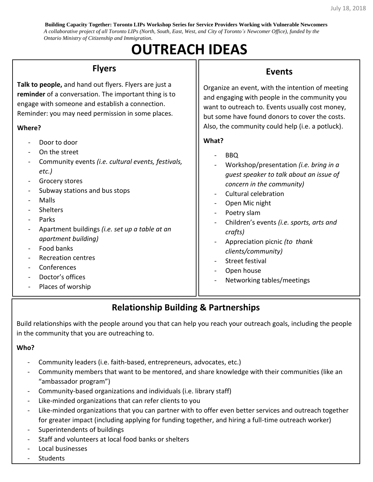**Building Capacity Together: Toronto LIPs Workshop Series for Service Providers Working with Vulnerable Newcomers** *A collaborative project of all Toronto LIPs (North, South, East, West, and City of Toronto's Newcomer Office), funded by the Ontario Ministry of Citizenship and Immigration.*

# **OUTREACH IDEAS**

## **Flyers**

**Talk to people,** and hand out flyers. Flyers are just a **reminder** of a conversation. The important thing is to engage with someone and establish a connection. Reminder: you may need permission in some places.

#### **Where?**

- Door to door
- On the street
- Community events *(i.e. cultural events, festivals, etc.)*
- - Grocery stores
- Subway stations and bus stops
- Malls
- **Shelters**
- Parks
- Apartment buildings *(i.e. set up a table at an apartment building)*
- Food banks
- Recreation centres
- Conferences
- Doctor's offices
- Places of worship

## **Events**

Organize an event, with the intention of meeting and engaging with people in the community you want to outreach to. Events usually cost money, but some have found donors to cover the costs. Also, the community could help (i.e. a potluck).

#### **What?**

- BBQ
- Workshop/presentation *(i.e. bring in a guest speaker to talk about an issue of concern in the community)*
- Cultural celebration
- Open Mic night
- Poetry slam
- Children's events *(i.e. sports, arts and crafts)*
- Appreciation picnic *(to thank clients/community)*
- Street festival
- Open house
- Networking tables/meetings

# **Relationship Building & Partnerships**

Build relationships with the people around you that can help you reach your outreach goals, including the people in the community that you are outreaching to.

#### **Who?**

- Community leaders (i.e. faith-based, entrepreneurs, advocates, etc.)
- Community members that want to be mentored, and share knowledge with their communities (like an "ambassador program")
- Community-based organizations and individuals (i.e. library staff)
- Like-minded organizations that can refer clients to you
- Like-minded organizations that you can partner with to offer even better services and outreach together for greater impact (including applying for funding together, and hiring a full-time outreach worker)
- Superintendents of buildings
- Staff and volunteers at local food banks or shelters
- Local businesses
- Students